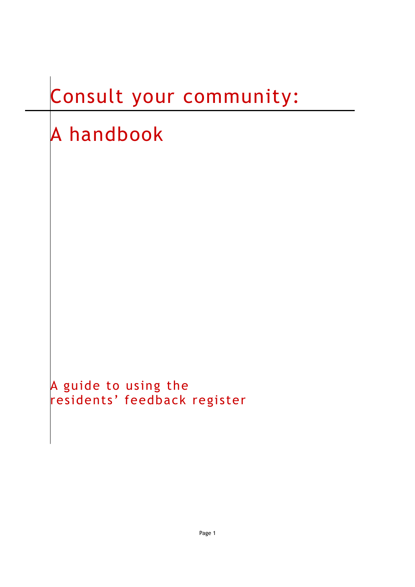# Consult your community:

# A handbook

A guide to using the residents' feedback register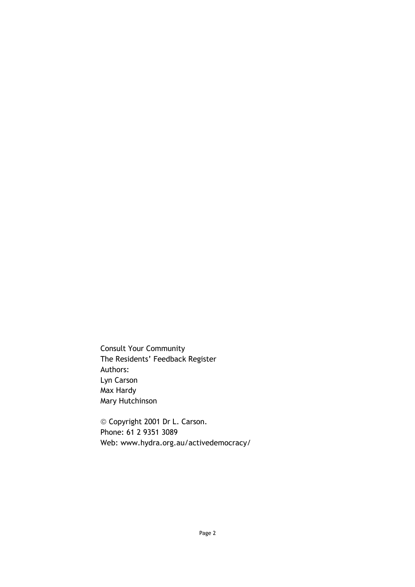Consult Your Community The Residents' Feedback Register Authors: Lyn Carson Max Hardy Mary Hutchinson

© Copyright 2001 Dr L. Carson. Phone: 61 2 9351 3089 Web: www.hydra.org.au/activedemocracy/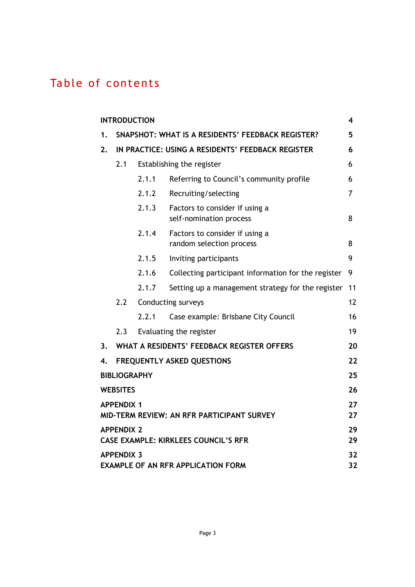### Table of contents

|    | <b>INTRODUCTION</b> |       |                                                            | 4        |
|----|---------------------|-------|------------------------------------------------------------|----------|
| 1. |                     |       | SNAPSHOT: WHAT IS A RESIDENTS' FEEDBACK REGISTER?          | 5        |
| 2. |                     |       | IN PRACTICE: USING A RESIDENTS' FEEDBACK REGISTER          | 6        |
|    | 2.1                 |       | Establishing the register                                  | 6        |
|    |                     | 2.1.1 | Referring to Council's community profile                   | 6        |
|    |                     | 2.1.2 | Recruiting/selecting                                       | 7        |
|    |                     | 2.1.3 | Factors to consider if using a<br>self-nomination process  | 8        |
|    |                     | 2.1.4 | Factors to consider if using a<br>random selection process | 8        |
|    |                     | 2.1.5 | Inviting participants                                      | 9        |
|    |                     | 2.1.6 | Collecting participant information for the register        | 9        |
|    |                     | 2.1.7 | Setting up a management strategy for the register          | 11       |
|    | 2.2                 |       | <b>Conducting surveys</b>                                  | 12       |
|    |                     | 2.2.1 | Case example: Brisbane City Council                        | 16       |
|    | 2.3                 |       | Evaluating the register                                    | 19       |
| 3. |                     |       | WHAT A RESIDENTS' FEEDBACK REGISTER OFFERS                 | 20       |
| 4. |                     |       | <b>FREQUENTLY ASKED QUESTIONS</b>                          | 22       |
|    | <b>BIBLIOGRAPHY</b> |       |                                                            | 25       |
|    | <b>WEBSITES</b>     |       |                                                            | 26       |
|    | <b>APPENDIX 1</b>   |       | MID-TERM REVIEW: AN RFR PARTICIPANT SURVEY                 | 27<br>27 |
|    | <b>APPENDIX 2</b>   |       | CASE EXAMPLE: KIRKLEES COUNCIL'S RFR                       | 29<br>29 |
|    | <b>APPENDIX 3</b>   |       | <b>EXAMPLE OF AN RFR APPLICATION FORM</b>                  | 32<br>32 |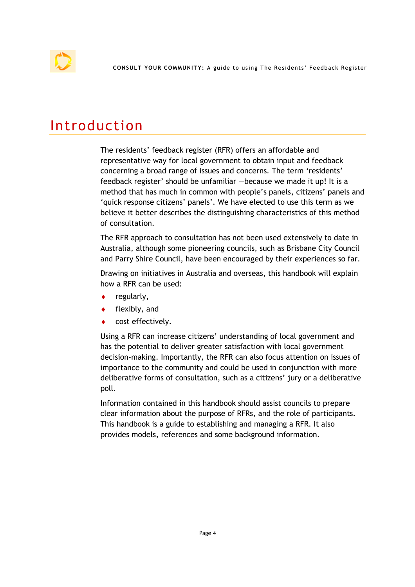## Introduction

The residents' feedback register (RFR) offers an affordable and representative way for local government to obtain input and feedback concerning a broad range of issues and concerns. The term 'residents' feedback register' should be unfamiliar —because we made it up! It is a method that has much in common with people's panels, citizens' panels and 'quick response citizens' panels'. We have elected to use this term as we believe it better describes the distinguishing characteristics of this method of consultation.

The RFR approach to consultation has not been used extensively to date in Australia, although some pioneering councils, such as Brisbane City Council and Parry Shire Council, have been encouraged by their experiences so far.

Drawing on initiatives in Australia and overseas, this handbook will explain how a RFR can be used:

- regularly,
- $\bullet$  flexibly, and
- cost effectively.

Using a RFR can increase citizens' understanding of local government and has the potential to deliver greater satisfaction with local government decision-making. Importantly, the RFR can also focus attention on issues of importance to the community and could be used in conjunction with more deliberative forms of consultation, such as a citizens' jury or a deliberative poll.

Information contained in this handbook should assist councils to prepare clear information about the purpose of RFRs, and the role of participants. This handbook is a guide to establishing and managing a RFR. It also provides models, references and some background information.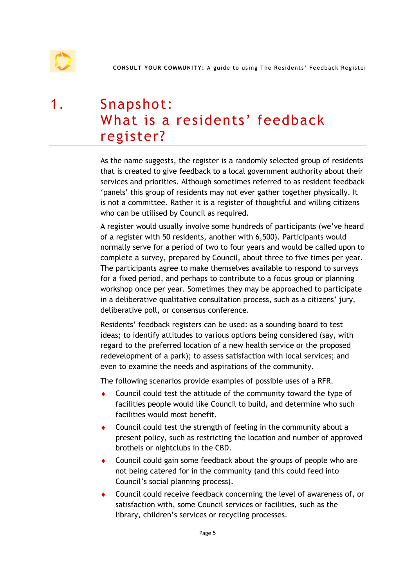## 1. Snapshot: What is a residents' feedback register?

As the name suggests, the register is a randomly selected group of residents that is created to give feedback to a local government authority about their services and priorities. Although sometimes referred to as resident feedback 'panels' this group of residents may not ever gather together physically. It is not a committee. Rather it is a register of thoughtful and willing citizens who can be utilised by Council as required.

A register would usually involve some hundreds of participants (we've heard of a register with 50 residents, another with 6,500). Participants would normally serve for a period of two to four years and would be called upon to complete a survey, prepared by Council, about three to five times per year. The participants agree to make themselves available to respond to surveys for a fixed period, and perhaps to contribute to a focus group or planning workshop once per year. Sometimes they may be approached to participate in a deliberative qualitative consultation process, such as a citizens' jury, deliberative poll, or consensus conference.

Residents' feedback registers can be used: as a sounding board to test ideas; to identify attitudes to various options being considered (say, with regard to the preferred location of a new health service or the proposed redevelopment of a park); to assess satisfaction with local services; and even to examine the needs and aspirations of the community.

The following scenarios provide examples of possible uses of a RFR.

- Council could test the attitude of the community toward the type of facilities people would like Council to build, and determine who such facilities would most benefit.
- ♦ Council could test the strength of feeling in the community about a present policy, such as restricting the location and number of approved brothels or nightclubs in the CBD.
- ♦ Council could gain some feedback about the groups of people who are not being catered for in the community (and this could feed into Council's social planning process).
- ♦ Council could receive feedback concerning the level of awareness of, or satisfaction with, some Council services or facilities, such as the library, children's services or recycling processes.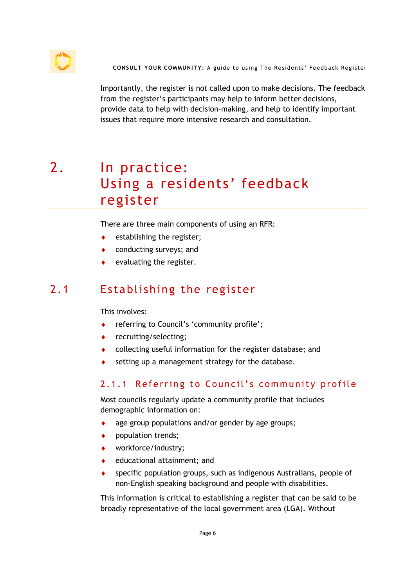

Importantly, the register is not called upon to make decisions. The feedback from the register's participants may help to inform better decisions, provide data to help with decision-making, and help to identify important issues that require more intensive research and consultation.

# 2. In practice: Using a residents' feedback register

There are three main components of using an RFR:

- establishing the register;
- conducting surveys; and
- evaluating the register.

### 2.1 Establishing the register

This involves:

- referring to Council's 'community profile';
- ♦ recruiting/selecting;
- collecting useful information for the register database; and
- setting up a management strategy for the database.

#### 2.1.1 Referring to Council's community profile

Most councils regularly update a community profile that includes demographic information on:

- age group populations and/or gender by age groups;
- ♦ population trends;
- ♦ workforce/industry;
- ♦ educational attainment; and
- specific population groups, such as indigenous Australians, people of non-English speaking background and people with disabilities.

This information is critical to establishing a register that can be said to be broadly representative of the local government area (LGA). Without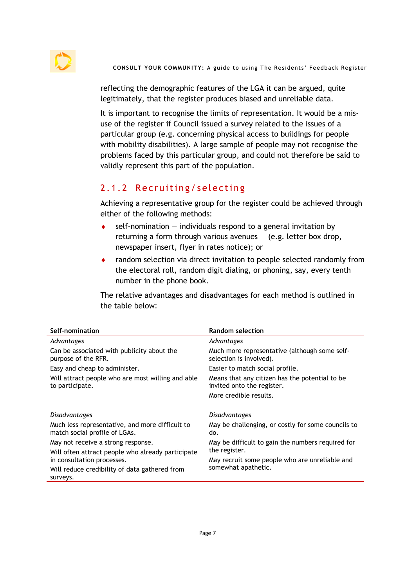

reflecting the demographic features of the LGA it can be argued, quite legitimately, that the register produces biased and unreliable data.

It is important to recognise the limits of representation. It would be a misuse of the register if Council issued a survey related to the issues of a particular group (e.g. concerning physical access to buildings for people with mobility disabilities). A large sample of people may not recognise the problems faced by this particular group, and could not therefore be said to validly represent this part of the population.

### 2.1.2 Recruiting/selecting

Achieving a representative group for the register could be achieved through either of the following methods:

- $\bullet$  self-nomination individuals respond to a general invitation by returning a form through various avenues  $-$  (e.g. letter box drop, newspaper insert, flyer in rates notice); or
- ♦ random selection via direct invitation to people selected randomly from the electoral roll, random digit dialing, or phoning, say, every tenth number in the phone book.

The relative advantages and disadvantages for each method is outlined in the table below:

| Self-nomination                                                                  | <b>Random selection</b>                                                      |
|----------------------------------------------------------------------------------|------------------------------------------------------------------------------|
| Advantages                                                                       | Advantages                                                                   |
| Can be associated with publicity about the<br>purpose of the RFR.                | Much more representative (although some self-<br>selection is involved).     |
| Easy and cheap to administer.                                                    | Easier to match social profile.                                              |
| Will attract people who are most willing and able<br>to participate.             | Means that any citizen has the potential to be<br>invited onto the register. |
|                                                                                  | More credible results.                                                       |
| <b>Disadvantages</b>                                                             | <b>Disadvantages</b>                                                         |
| Much less representative, and more difficult to<br>match social profile of LGAs. | May be challenging, or costly for some councils to<br>do.                    |
| May not receive a strong response.                                               | May be difficult to gain the numbers required for                            |
| Will often attract people who already participate                                | the register.                                                                |
| in consultation processes.                                                       | May recruit some people who are unreliable and                               |
| Will reduce credibility of data gathered from<br>surveys.                        | somewhat apathetic.                                                          |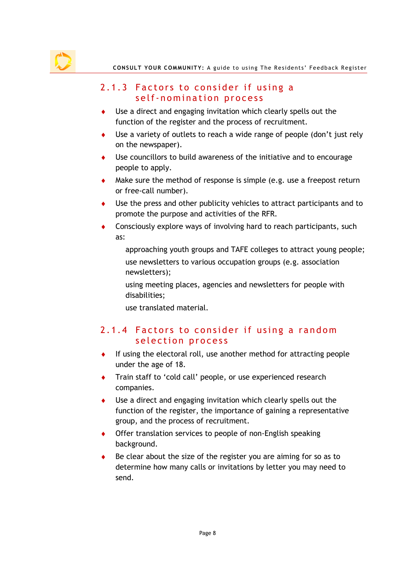

#### 2.1.3 Factors to consider if using a self-nomination process

- Use a direct and engaging invitation which clearly spells out the function of the register and the process of recruitment.
- ♦ Use a variety of outlets to reach a wide range of people (don't just rely on the newspaper).
- ♦ Use councillors to build awareness of the initiative and to encourage people to apply.
- $\bullet$  Make sure the method of response is simple (e.g. use a freepost return or free-call number).
- ♦ Use the press and other publicity vehicles to attract participants and to promote the purpose and activities of the RFR.
- ♦ Consciously explore ways of involving hard to reach participants, such as:
	- approaching youth groups and TAFE colleges to attract young people; use newsletters to various occupation groups (e.g. association newsletters);

using meeting places, agencies and newsletters for people with disabilities;

use translated material.

#### 2.1.4 Factors to consider if using a random selection process

- If using the electoral roll, use another method for attracting people under the age of 18.
- ♦ Train staff to 'cold call' people, or use experienced research companies.
- Use a direct and engaging invitation which clearly spells out the function of the register, the importance of gaining a representative group, and the process of recruitment.
- ♦ Offer translation services to people of non-English speaking background.
- Be clear about the size of the register you are aiming for so as to determine how many calls or invitations by letter you may need to send.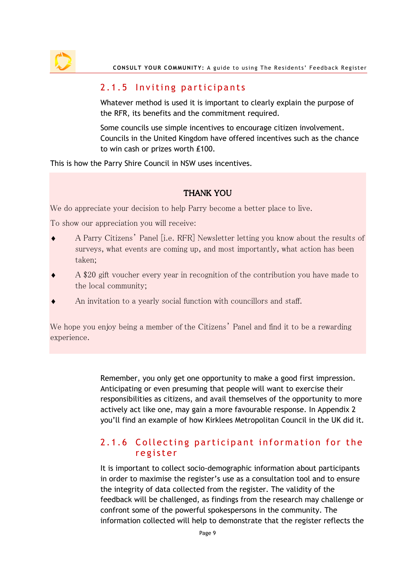

#### 2.1.5 Inviting participants

Whatever method is used it is important to clearly explain the purpose of the RFR, its benefits and the commitment required.

Some councils use simple incentives to encourage citizen involvement. Councils in the United Kingdom have offered incentives such as the chance to win cash or prizes worth £100.

This is how the Parry Shire Council in NSW uses incentives.

#### THANK YOU

We do appreciate your decision to help Parry become a better place to live.

To show our appreciation you will receive:

- ♦ A Parry Citizens' Panel [i.e. RFR] Newsletter letting you know about the results of surveys, what events are coming up, and most importantly, what action has been taken;
- A \$20 gift voucher every year in recognition of the contribution you have made to the local community;
- An invitation to a yearly social function with councillors and staff.

We hope you enjoy being a member of the Citizens' Panel and find it to be a rewarding experience.

> Remember, you only get one opportunity to make a good first impression. Anticipating or even presuming that people will want to exercise their responsibilities as citizens, and avail themselves of the opportunity to more actively act like one, may gain a more favourable response. In Appendix 2 you'll find an example of how Kirklees Metropolitan Council in the UK did it.

#### 2.1.6 Collecting participant information for the register

It is important to collect socio-demographic information about participants in order to maximise the register's use as a consultation tool and to ensure the integrity of data collected from the register. The validity of the feedback will be challenged, as findings from the research may challenge or confront some of the powerful spokespersons in the community. The information collected will help to demonstrate that the register reflects the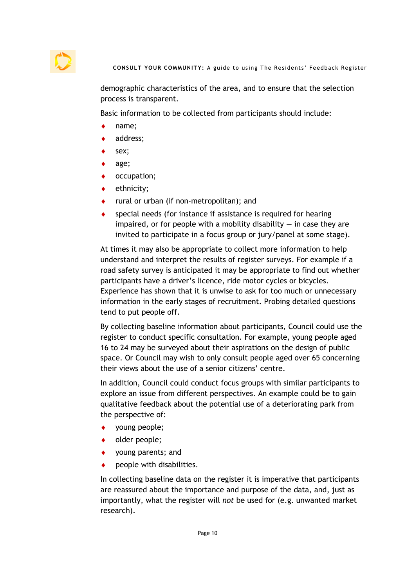demographic characteristics of the area, and to ensure that the selection process is transparent.

Basic information to be collected from participants should include:

- name;
- address;
- sex;
- age;
- occupation;
- ethnicity;
- rural or urban (if non-metropolitan); and
- special needs (for instance if assistance is required for hearing impaired, or for people with a mobility disability  $-$  in case they are invited to participate in a focus group or jury/panel at some stage).

At times it may also be appropriate to collect more information to help understand and interpret the results of register surveys. For example if a road safety survey is anticipated it may be appropriate to find out whether participants have a driver's licence, ride motor cycles or bicycles. Experience has shown that it is unwise to ask for too much or unnecessary information in the early stages of recruitment. Probing detailed questions tend to put people off.

By collecting baseline information about participants, Council could use the register to conduct specific consultation. For example, young people aged 16 to 24 may be surveyed about their aspirations on the design of public space. Or Council may wish to only consult people aged over 65 concerning their views about the use of a senior citizens' centre.

In addition, Council could conduct focus groups with similar participants to explore an issue from different perspectives. An example could be to gain qualitative feedback about the potential use of a deteriorating park from the perspective of:

- young people;
- older people;
- young parents; and
- $\bullet$  people with disabilities.

In collecting baseline data on the register it is imperative that participants are reassured about the importance and purpose of the data, and, just as importantly, what the register will not be used for (e.g. unwanted market research).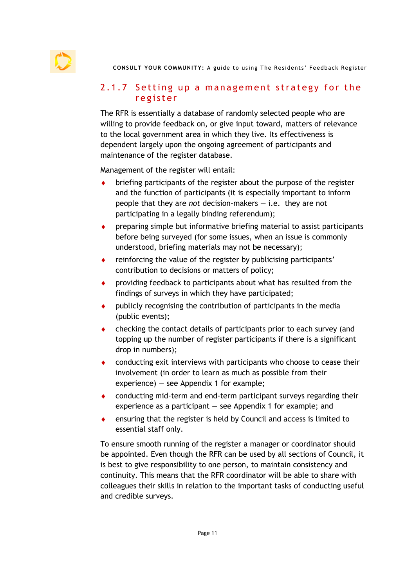#### 2.1.7 Setting up a management strategy for the register

The RFR is essentially a database of randomly selected people who are willing to provide feedback on, or give input toward, matters of relevance to the local government area in which they live. Its effectiveness is dependent largely upon the ongoing agreement of participants and maintenance of the register database.

Management of the register will entail:

- briefing participants of the register about the purpose of the register and the function of participants (it is especially important to inform people that they are not decision-makers  $-$  i.e. they are not participating in a legally binding referendum);
- ♦ preparing simple but informative briefing material to assist participants before being surveyed (for some issues, when an issue is commonly understood, briefing materials may not be necessary);
- reinforcing the value of the register by publicising participants' contribution to decisions or matters of policy;
- providing feedback to participants about what has resulted from the findings of surveys in which they have participated;
- $\bullet$  publicly recognising the contribution of participants in the media (public events);
- checking the contact details of participants prior to each survey (and topping up the number of register participants if there is a significant drop in numbers);
- ♦ conducting exit interviews with participants who choose to cease their involvement (in order to learn as much as possible from their experience) — see Appendix 1 for example;
- ♦ conducting mid-term and end-term participant surveys regarding their experience as a participant — see Appendix 1 for example; and
- ♦ ensuring that the register is held by Council and access is limited to essential staff only.

To ensure smooth running of the register a manager or coordinator should be appointed. Even though the RFR can be used by all sections of Council, it is best to give responsibility to one person, to maintain consistency and continuity. This means that the RFR coordinator will be able to share with colleagues their skills in relation to the important tasks of conducting useful and credible surveys.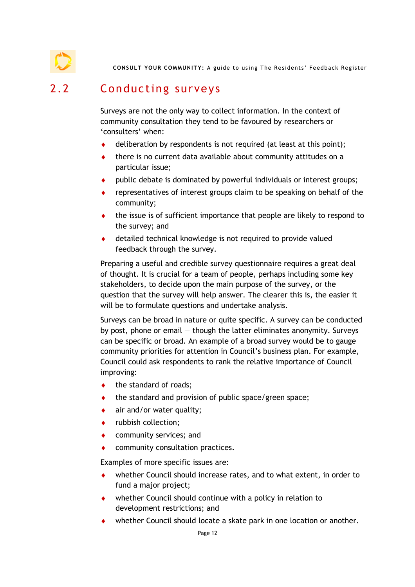CONSULT YOUR COMMUNITY: A guide to using The Residents' Feedback Register

### 2.2 Conducting surveys

Surveys are not the only way to collect information. In the context of community consultation they tend to be favoured by researchers or 'consulters' when:

- deliberation by respondents is not required (at least at this point);
- there is no current data available about community attitudes on a particular issue;
- public debate is dominated by powerful individuals or interest groups;
- representatives of interest groups claim to be speaking on behalf of the community;
- ♦ the issue is of sufficient importance that people are likely to respond to the survey; and
- detailed technical knowledge is not required to provide valued feedback through the survey.

Preparing a useful and credible survey questionnaire requires a great deal of thought. It is crucial for a team of people, perhaps including some key stakeholders, to decide upon the main purpose of the survey, or the question that the survey will help answer. The clearer this is, the easier it will be to formulate questions and undertake analysis.

Surveys can be broad in nature or quite specific. A survey can be conducted by post, phone or email — though the latter eliminates anonymity. Surveys can be specific or broad. An example of a broad survey would be to gauge community priorities for attention in Council's business plan. For example, Council could ask respondents to rank the relative importance of Council improving:

- $\bullet$  the standard of roads;
- the standard and provision of public space/green space;
- air and/or water quality;
- ♦ rubbish collection;
- community services; and
- community consultation practices.

Examples of more specific issues are:

- whether Council should increase rates, and to what extent, in order to fund a major project;
- ♦ whether Council should continue with a policy in relation to development restrictions; and
- whether Council should locate a skate park in one location or another.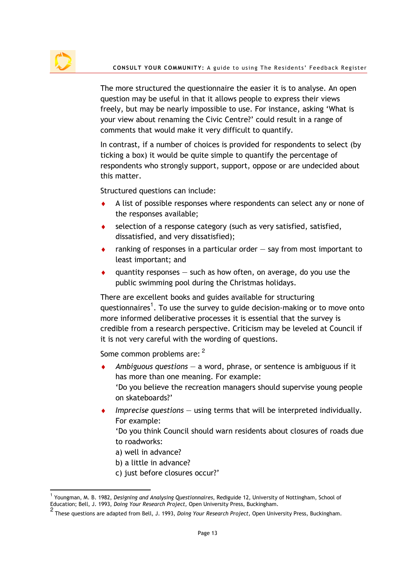

 $\overline{a}$ 

The more structured the questionnaire the easier it is to analyse. An open question may be useful in that it allows people to express their views freely, but may be nearly impossible to use. For instance, asking 'What is your view about renaming the Civic Centre?' could result in a range of comments that would make it very difficult to quantify.

In contrast, if a number of choices is provided for respondents to select (by ticking a box) it would be quite simple to quantify the percentage of respondents who strongly support, support, oppose or are undecided about this matter.

Structured questions can include:

- A list of possible responses where respondents can select any or none of the responses available;
- selection of a response category (such as very satisfied, satisfied, dissatisfied, and very dissatisfied);
- $\bullet$  ranking of responses in a particular order  $-$  say from most important to least important; and
- quantity responses  $-$  such as how often, on average, do you use the public swimming pool during the Christmas holidays.

There are excellent books and guides available for structuring questionnaires<sup>1</sup>. To use the survey to guide decision-making or to move onto more informed deliberative processes it is essential that the survey is credible from a research perspective. Criticism may be leveled at Council if it is not very careful with the wording of questions.

Some common problems are: <sup>2</sup>

- Ambiguous questions  $-$  a word, phrase, or sentence is ambiguous if it has more than one meaning. For example: 'Do you believe the recreation managers should supervise young people on skateboards?'
- $\bullet$  Imprecise questions  $-$  using terms that will be interpreted individually. For example:

'Do you think Council should warn residents about closures of roads due to roadworks:

- a) well in advance?
- b) a little in advance?
- c) just before closures occur?'

<sup>&</sup>lt;sup>1</sup> Youngman, M. B. 1982, *Designing and Analysing Questionnaires*, Rediguide 12, University of Nottingham, School of Education; Bell, J. 1993, Doing Your Research Project, Open University Press, Buckingham.

<sup>2</sup> These questions are adapted from Bell, J. 1993, Doing Your Research Project, Open University Press, Buckingham.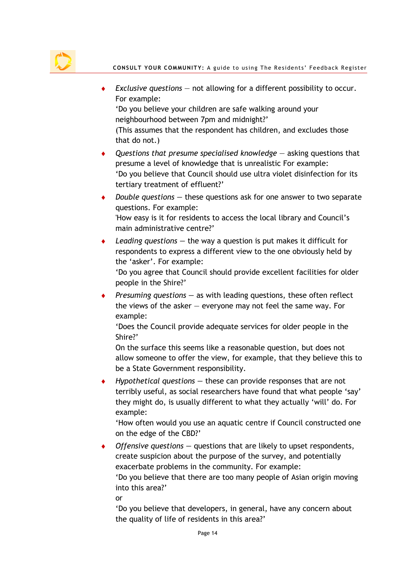

- $\bullet$  Exclusive questions not allowing for a different possibility to occur. For example: 'Do you believe your children are safe walking around your neighbourhood between 7pm and midnight?' (This assumes that the respondent has children, and excludes those that do not.)
- $\triangle$  Questions that presume specialised knowledge  $-$  asking questions that presume a level of knowledge that is unrealistic For example: 'Do you believe that Council should use ultra violet disinfection for its tertiary treatment of effluent?'
- Double questions  $-$  these questions ask for one answer to two separate questions. For example: 'How easy is it for residents to access the local library and Council's main administrative centre?'
- Leading questions  $-$  the way a question is put makes it difficult for respondents to express a different view to the one obviously held by the 'asker'. For example:

'Do you agree that Council should provide excellent facilities for older people in the Shire?'

Presuming questions  $-$  as with leading questions, these often reflect the views of the asker  $-$  everyone may not feel the same way. For example:

'Does the Council provide adequate services for older people in the Shire?'

On the surface this seems like a reasonable question, but does not allow someone to offer the view, for example, that they believe this to be a State Government responsibility.

Hypothetical questions  $-$  these can provide responses that are not terribly useful, as social researchers have found that what people 'say' they might do, is usually different to what they actually 'will' do. For example:

'How often would you use an aquatic centre if Council constructed one on the edge of the CBD?'

Offensive questions  $-$  questions that are likely to upset respondents, create suspicion about the purpose of the survey, and potentially exacerbate problems in the community. For example: 'Do you believe that there are too many people of Asian origin moving into this area?' or

'Do you believe that developers, in general, have any concern about the quality of life of residents in this area?'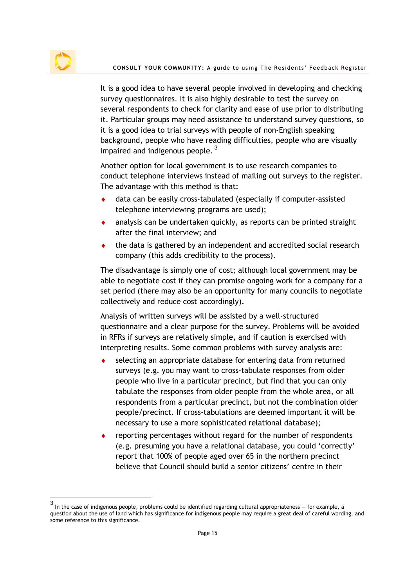$\overline{a}$ 

It is a good idea to have several people involved in developing and checking survey questionnaires. It is also highly desirable to test the survey on several respondents to check for clarity and ease of use prior to distributing it. Particular groups may need assistance to understand survey questions, so it is a good idea to trial surveys with people of non-English speaking background, people who have reading difficulties, people who are visually impaired and indigenous people.  $3$ 

Another option for local government is to use research companies to conduct telephone interviews instead of mailing out surveys to the register. The advantage with this method is that:

- ♦ data can be easily cross-tabulated (especially if computer-assisted telephone interviewing programs are used);
- analysis can be undertaken quickly, as reports can be printed straight after the final interview; and
- the data is gathered by an independent and accredited social research company (this adds credibility to the process).

The disadvantage is simply one of cost; although local government may be able to negotiate cost if they can promise ongoing work for a company for a set period (there may also be an opportunity for many councils to negotiate collectively and reduce cost accordingly).

Analysis of written surveys will be assisted by a well-structured questionnaire and a clear purpose for the survey. Problems will be avoided in RFRs if surveys are relatively simple, and if caution is exercised with interpreting results. Some common problems with survey analysis are:

- selecting an appropriate database for entering data from returned surveys (e.g. you may want to cross-tabulate responses from older people who live in a particular precinct, but find that you can only tabulate the responses from older people from the whole area, or all respondents from a particular precinct, but not the combination older people/precinct. If cross-tabulations are deemed important it will be necessary to use a more sophisticated relational database);
- reporting percentages without regard for the number of respondents (e.g. presuming you have a relational database, you could 'correctly' report that 100% of people aged over 65 in the northern precinct believe that Council should build a senior citizens' centre in their

<sup>3</sup> In the case of indigenous people, problems could be identified regarding cultural appropriateness — for example, a question about the use of land which has significance for indigenous people may require a great deal of careful wording, and some reference to this significance.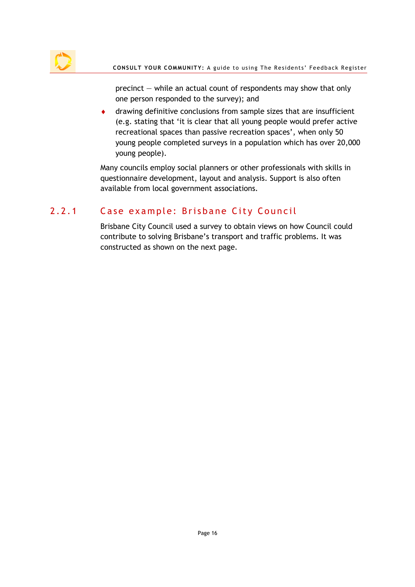

precinct — while an actual count of respondents may show that only one person responded to the survey); and

♦ drawing definitive conclusions from sample sizes that are insufficient (e.g. stating that 'it is clear that all young people would prefer active recreational spaces than passive recreation spaces', when only 50 young people completed surveys in a population which has over 20,000 young people).

Many councils employ social planners or other professionals with skills in questionnaire development, layout and analysis. Support is also often available from local government associations.

### 2.2.1 Case example: Brisbane City Council

Brisbane City Council used a survey to obtain views on how Council could contribute to solving Brisbane's transport and traffic problems. It was constructed as shown on the next page.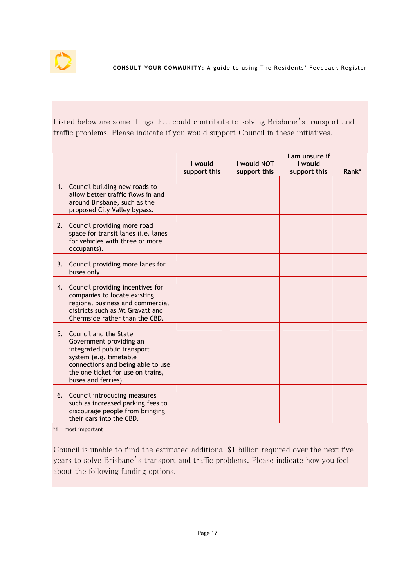

Listed below are some things that could contribute to solving Brisbane's transport and traffic problems. Please indicate if you would support Council in these initiatives.

|                                                                                                                                                                                                               | I would<br>support this | I would NOT<br>support this | I am unsure if<br>I would<br>support this | Rank* |
|---------------------------------------------------------------------------------------------------------------------------------------------------------------------------------------------------------------|-------------------------|-----------------------------|-------------------------------------------|-------|
| 1. Council building new roads to<br>allow better traffic flows in and<br>around Brisbane, such as the<br>proposed City Valley bypass.                                                                         |                         |                             |                                           |       |
| 2. Council providing more road<br>space for transit lanes (i.e. lanes<br>for vehicles with three or more<br>occupants).                                                                                       |                         |                             |                                           |       |
| 3. Council providing more lanes for<br>buses only.                                                                                                                                                            |                         |                             |                                           |       |
| 4. Council providing incentives for<br>companies to locate existing<br>regional business and commercial<br>districts such as Mt Gravatt and<br>Chermside rather than the CBD.                                 |                         |                             |                                           |       |
| 5. Council and the State<br>Government providing an<br>integrated public transport<br>system (e.g. timetable<br>connections and being able to use<br>the one ticket for use on trains,<br>buses and ferries). |                         |                             |                                           |       |
| 6. Council introducing measures<br>such as increased parking fees to<br>discourage people from bringing<br>their cars into the CBD.                                                                           |                         |                             |                                           |       |

\*1 = most important

Council is unable to fund the estimated additional \$1 billion required over the next five years to solve Brisbane's transport and traffic problems. Please indicate how you feel about the following funding options.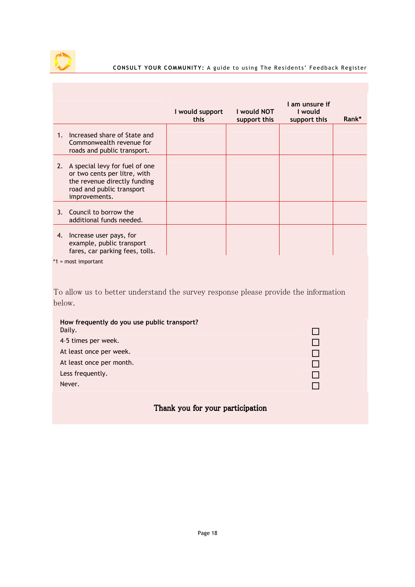

#### CONSULT YOUR COMMUNITY: A guide to using The Residents' Feedback Register

|                |                                                                                                                                              | I would support<br>this | I would NOT<br>support this | I am unsure if<br>I would<br>support this | Rank* |
|----------------|----------------------------------------------------------------------------------------------------------------------------------------------|-------------------------|-----------------------------|-------------------------------------------|-------|
| 1 <sub>1</sub> | Increased share of State and<br>Commonwealth revenue for<br>roads and public transport.                                                      |                         |                             |                                           |       |
| 2.             | A special levy for fuel of one<br>or two cents per litre, with<br>the revenue directly funding<br>road and public transport<br>improvements. |                         |                             |                                           |       |
| 3.             | Council to borrow the<br>additional funds needed.                                                                                            |                         |                             |                                           |       |
| 4.             | Increase user pays, for<br>example, public transport<br>fares, car parking fees, tolls.                                                      |                         |                             |                                           |       |
|                | $*1$ = most important                                                                                                                        |                         |                             |                                           |       |
|                |                                                                                                                                              |                         |                             |                                           |       |
|                | To allow us to better understand the survey response please provide the information                                                          |                         |                             |                                           |       |
| below.         |                                                                                                                                              |                         |                             |                                           |       |
|                | How frequently do you use public transport?<br>Daily.                                                                                        |                         |                             |                                           |       |
|                | 4-5 times per week.                                                                                                                          |                         |                             |                                           |       |
|                | At least once per week.                                                                                                                      |                         |                             |                                           |       |
|                | At least once per month.                                                                                                                     |                         |                             |                                           |       |
|                | Less frequently.                                                                                                                             |                         |                             |                                           |       |

Thank you for your participation

Never.  $\Box$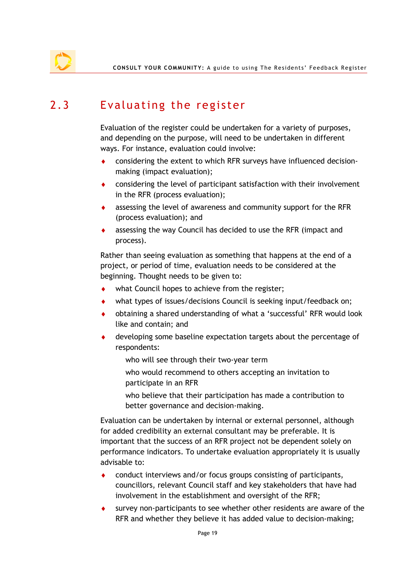### 2.3 Evaluating the register

Evaluation of the register could be undertaken for a variety of purposes, and depending on the purpose, will need to be undertaken in different ways. For instance, evaluation could involve:

- ♦ considering the extent to which RFR surveys have influenced decisionmaking (impact evaluation);
- ♦ considering the level of participant satisfaction with their involvement in the RFR (process evaluation);
- assessing the level of awareness and community support for the RFR (process evaluation); and
- ♦ assessing the way Council has decided to use the RFR (impact and process).

Rather than seeing evaluation as something that happens at the end of a project, or period of time, evaluation needs to be considered at the beginning. Thought needs to be given to:

- what Council hopes to achieve from the register;
- what types of issues/decisions Council is seeking input/feedback on;
- ♦ obtaining a shared understanding of what a 'successful' RFR would look like and contain; and
- developing some baseline expectation targets about the percentage of respondents:
	- who will see through their two-year term
	- who would recommend to others accepting an invitation to participate in an RFR
	- who believe that their participation has made a contribution to better governance and decision-making.

Evaluation can be undertaken by internal or external personnel, although for added credibility an external consultant may be preferable. It is important that the success of an RFR project not be dependent solely on performance indicators. To undertake evaluation appropriately it is usually advisable to:

- conduct interviews and/or focus groups consisting of participants, councillors, relevant Council staff and key stakeholders that have had involvement in the establishment and oversight of the RFR;
- ♦ survey non-participants to see whether other residents are aware of the RFR and whether they believe it has added value to decision-making;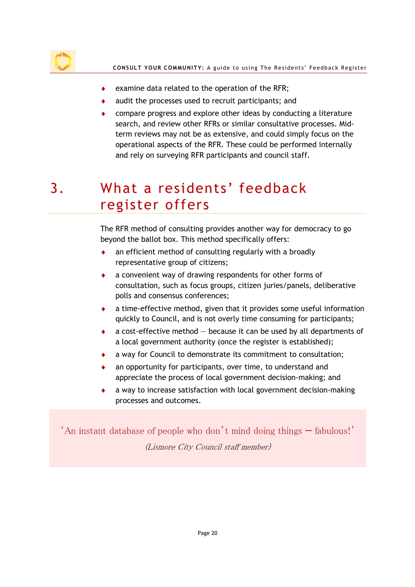

- ♦ examine data related to the operation of the RFR;
- audit the processes used to recruit participants; and
- compare progress and explore other ideas by conducting a literature search, and review other RFRs or similar consultative processes. Midterm reviews may not be as extensive, and could simply focus on the operational aspects of the RFR. These could be performed internally and rely on surveying RFR participants and council staff.

# 3. What a residents' feedback register offers

The RFR method of consulting provides another way for democracy to go beyond the ballot box. This method specifically offers:

- an efficient method of consulting regularly with a broadly representative group of citizens;
- a convenient way of drawing respondents for other forms of consultation, such as focus groups, citizen juries/panels, deliberative polls and consensus conferences;
- a time-effective method, given that it provides some useful information quickly to Council, and is not overly time consuming for participants;
- a cost-effective method  $-$  because it can be used by all departments of a local government authority (once the register is established);
- a way for Council to demonstrate its commitment to consultation;
- an opportunity for participants, over time, to understand and appreciate the process of local government decision-making; and
- a way to increase satisfaction with local government decision-making processes and outcomes.

'An instant database of people who don't mind doing things — fabulous!' (Lismore City Council staff member)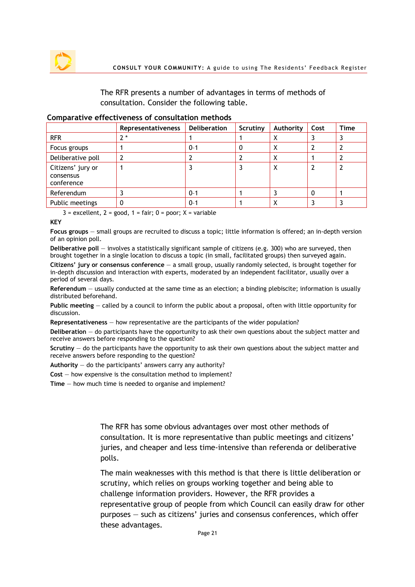

The RFR presents a number of advantages in terms of methods of consultation. Consider the following table.

#### Comparative effectiveness of consultation methods

|                                              | <b>Representativeness</b> | <b>Deliberation</b> | Scrutiny | Authority | Cost | Time |
|----------------------------------------------|---------------------------|---------------------|----------|-----------|------|------|
| <b>RFR</b>                                   | $2^*$                     |                     |          | Х         |      |      |
| Focus groups                                 |                           | $0 - 1$             |          | х         |      |      |
| Deliberative poll                            |                           |                     |          | X         |      |      |
| Citizens' jury or<br>consensus<br>conference |                           |                     |          | X         |      |      |
| Referendum                                   |                           | $0 - 1$             |          |           | 0    |      |
| Public meetings                              |                           | $0 - 1$             |          |           |      |      |

 $3$  = excellent,  $2$  = good,  $1$  = fair;  $0$  = poor;  $X$  = variable

#### KEY

Focus groups — small groups are recruited to discuss a topic; little information is offered; an in-depth version of an opinion poll.

Deliberative poll — involves a statistically significant sample of citizens (e.g. 300) who are surveyed, then brought together in a single location to discuss a topic (in small, facilitated groups) then surveyed again.

Citizens' jury or consensus conference  $-$  a small group, usually randomly selected, is brought together for in-depth discussion and interaction with experts, moderated by an independent facilitator, usually over a period of several days.

Referendum — usually conducted at the same time as an election; a binding plebiscite; information is usually distributed beforehand.

Public meeting — called by a council to inform the public about a proposal, often with little opportunity for discussion.

Representativeness — how representative are the participants of the wider population?

Deliberation — do participants have the opportunity to ask their own questions about the subject matter and receive answers before responding to the question?

Scrutiny — do the participants have the opportunity to ask their own questions about the subject matter and receive answers before responding to the question?

Authority  $-$  do the participants' answers carry any authority?

Cost — how expensive is the consultation method to implement?

Time — how much time is needed to organise and implement?

The RFR has some obvious advantages over most other methods of consultation. It is more representative than public meetings and citizens' juries, and cheaper and less time-intensive than referenda or deliberative polls.

The main weaknesses with this method is that there is little deliberation or scrutiny, which relies on groups working together and being able to challenge information providers. However, the RFR provides a representative group of people from which Council can easily draw for other purposes — such as citizens' juries and consensus conferences, which offer these advantages.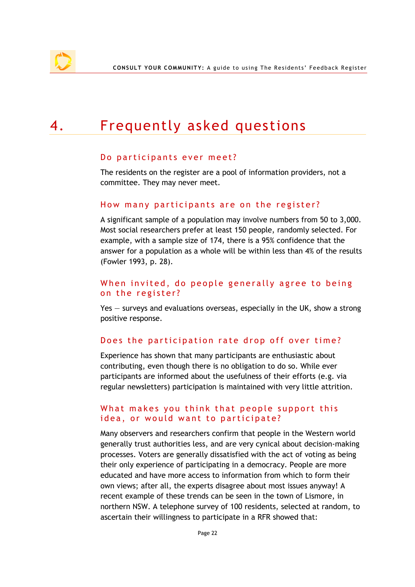# 4. Frequently asked questions

#### Do participants ever meet?

The residents on the register are a pool of information providers, not a committee. They may never meet.

#### How many participants are on the register?

A significant sample of a population may involve numbers from 50 to 3,000. Most social researchers prefer at least 150 people, randomly selected. For example, with a sample size of 174, there is a 95% confidence that the answer for a population as a whole will be within less than 4% of the results (Fowler 1993, p. 28).

#### When invited, do people generally agree to being on the register?

Yes — surveys and evaluations overseas, especially in the UK, show a strong positive response.

#### Does the participation rate drop off over time?

Experience has shown that many participants are enthusiastic about contributing, even though there is no obligation to do so. While ever participants are informed about the usefulness of their efforts (e.g. via regular newsletters) participation is maintained with very little attrition.

#### What makes you think that people support this idea, or would want to participate?

Many observers and researchers confirm that people in the Western world generally trust authorities less, and are very cynical about decision-making processes. Voters are generally dissatisfied with the act of voting as being their only experience of participating in a democracy. People are more educated and have more access to information from which to form their own views; after all, the experts disagree about most issues anyway! A recent example of these trends can be seen in the town of Lismore, in northern NSW. A telephone survey of 100 residents, selected at random, to ascertain their willingness to participate in a RFR showed that: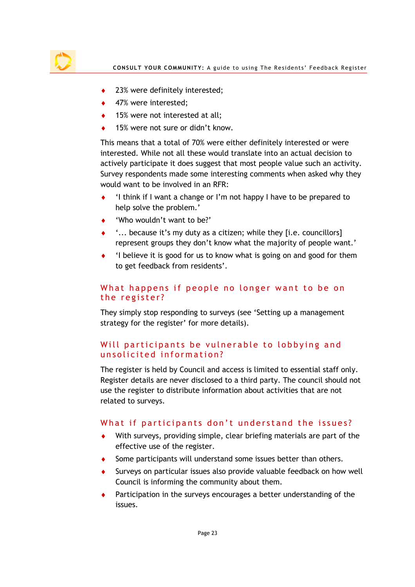

- ◆ 23% were definitely interested;
- ◆ 47% were interested;
- 15% were not interested at all:
- 15% were not sure or didn't know.

This means that a total of 70% were either definitely interested or were interested. While not all these would translate into an actual decision to actively participate it does suggest that most people value such an activity. Survey respondents made some interesting comments when asked why they would want to be involved in an RFR:

- 'I think if I want a change or I'm not happy I have to be prepared to help solve the problem.'
- 'Who wouldn't want to be?'
- $\ldots$  because it's my duty as a citizen; while they [i.e. councillors] represent groups they don't know what the majority of people want.'
- 'I believe it is good for us to know what is going on and good for them to get feedback from residents'.

#### What happens if people no longer want to be on the register?

They simply stop responding to surveys (see 'Setting up a management strategy for the register' for more details).

#### Will participants be vulnerable to lobbying and unsolicited information?

The register is held by Council and access is limited to essential staff only. Register details are never disclosed to a third party. The council should not use the register to distribute information about activities that are not related to surveys.

#### What if participants don't understand the issues?

- With surveys, providing simple, clear briefing materials are part of the effective use of the register.
- Some participants will understand some issues better than others.
- Surveys on particular issues also provide valuable feedback on how well Council is informing the community about them.
- Participation in the surveys encourages a better understanding of the issues.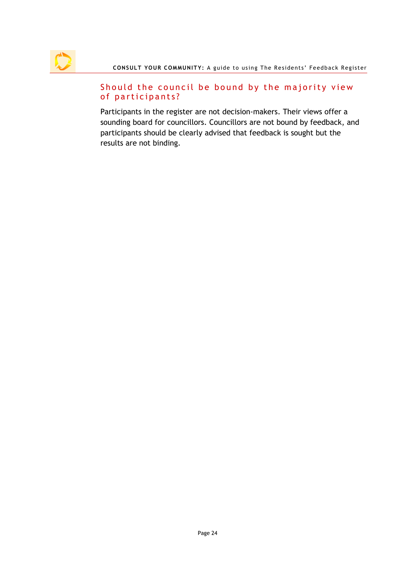#### Should the council be bound by the majority view of participants?

Participants in the register are not decision-makers. Their views offer a sounding board for councillors. Councillors are not bound by feedback, and participants should be clearly advised that feedback is sought but the results are not binding.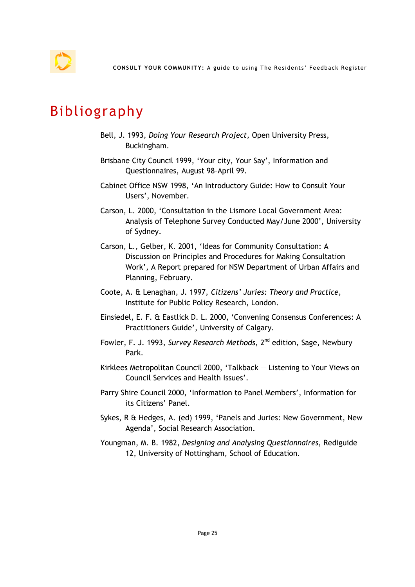## Bibliography

- Bell, J. 1993, Doing Your Research Project, Open University Press, Buckingham.
- Brisbane City Council 1999, 'Your city, Your Say', Information and Questionnaires, August 98–April 99.
- Cabinet Office NSW 1998, 'An Introductory Guide: How to Consult Your Users', November.
- Carson, L. 2000, 'Consultation in the Lismore Local Government Area: Analysis of Telephone Survey Conducted May/June 2000', University of Sydney.
- Carson, L., Gelber, K. 2001, 'Ideas for Community Consultation: A Discussion on Principles and Procedures for Making Consultation Work', A Report prepared for NSW Department of Urban Affairs and Planning, February.
- Coote, A. & Lenaghan, J. 1997, Citizens' Juries: Theory and Practice, Institute for Public Policy Research, London.
- Einsiedel, E. F. & Eastlick D. L. 2000, 'Convening Consensus Conferences: A Practitioners Guide', University of Calgary.
- Fowler, F. J. 1993, Survey Research Methods, 2<sup>nd</sup> edition, Sage, Newbury Park.
- Kirklees Metropolitan Council 2000, 'Talkback Listening to Your Views on Council Services and Health Issues'.
- Parry Shire Council 2000, 'Information to Panel Members', Information for its Citizens' Panel.
- Sykes, R & Hedges, A. (ed) 1999, 'Panels and Juries: New Government, New Agenda', Social Research Association.
- Youngman, M. B. 1982, Designing and Analysing Questionnaires, Rediguide 12, University of Nottingham, School of Education.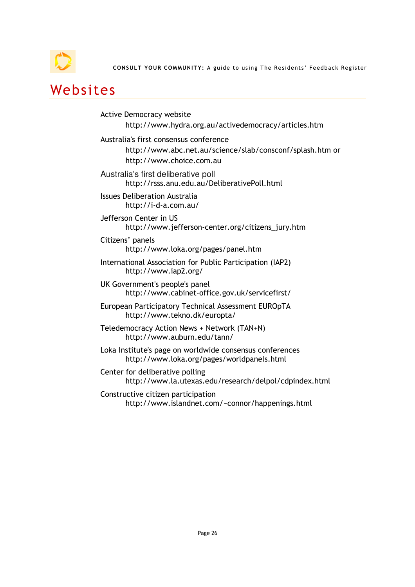

### Websites

Active Democracy website http://www.hydra.org.au/activedemocracy/articles.htm Australia's first consensus conference http://www.abc.net.au/science/slab/consconf/splash.htm or http://www.choice.com.au Australia's first deliberative poll http://rsss.anu.edu.au/DeliberativePoll.html Issues Deliberation Australia http://i-d-a.com.au/ Jefferson Center in US http://www.jefferson-center.org/citizens\_jury.htm Citizens' panels http://www.loka.org/pages/panel.htm International Association for Public Participation (IAP2) http://www.iap2.org/ UK Government's people's panel http://www.cabinet-office.gov.uk/servicefirst/ European Participatory Technical Assessment EUROpTA http://www.tekno.dk/europta/ Teledemocracy Action News + Network (TAN+N) http://www.auburn.edu/tann/ Loka Institute's page on worldwide consensus conferences http://www.loka.org/pages/worldpanels.html Center for deliberative polling http://www.la.utexas.edu/research/delpol/cdpindex.html Constructive citizen participation http://www.islandnet.com/~connor/happenings.html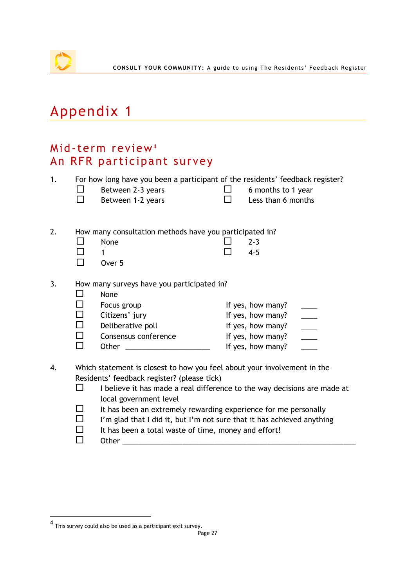# Appendix 1

### Mid-term review<sup>4</sup> An RFR participant survey

| 1. |        | For how long have you been a participant of the residents' feedback register?<br>Between 2-3 years |              | 6 months to 1 year |                                                                                   |
|----|--------|----------------------------------------------------------------------------------------------------|--------------|--------------------|-----------------------------------------------------------------------------------|
|    |        | Between 1-2 years                                                                                  | $\mathsf{L}$ | Less than 6 months |                                                                                   |
|    |        |                                                                                                    |              |                    |                                                                                   |
| 2. |        | How many consultation methods have you participated in?                                            |              |                    |                                                                                   |
|    |        | None                                                                                               |              | $2 - 3$            |                                                                                   |
|    |        | 1                                                                                                  |              | $4 - 5$            |                                                                                   |
|    |        | Over 5                                                                                             |              |                    |                                                                                   |
| 3. |        | How many surveys have you participated in?                                                         |              |                    |                                                                                   |
|    |        | None                                                                                               |              |                    |                                                                                   |
|    |        | Focus group                                                                                        |              | If yes, how many?  |                                                                                   |
|    | П      | Citizens' jury                                                                                     |              | If yes, how many?  |                                                                                   |
|    | $\Box$ | Deliberative poll                                                                                  |              | If yes, how many?  | $\frac{1}{\sqrt{1-\frac{1}{2}}}$                                                  |
|    |        | Consensus conference                                                                               |              | If yes, how many?  | $\frac{1}{\sqrt{1-\frac{1}{2}}}\left( \frac{1}{\sqrt{1-\frac{1}{2}}}\right) ^{2}$ |
|    | ΙI     | Other                                                                                              |              | If yes, how many?  |                                                                                   |
| 4. |        | Which statement is closest to how you feel about your involvement in the                           |              |                    |                                                                                   |
|    |        | Residents' feedback register? (please tick)                                                        |              |                    |                                                                                   |
|    |        |                                                                                                    |              |                    |                                                                                   |
|    |        | I believe it has made a real difference to the way decisions are made at                           |              |                    |                                                                                   |

- local government level
- $\Box$  It has been an extremely rewarding experience for me personally
- $\square$  I'm glad that I did it, but I'm not sure that it has achieved anything
- $\Box$  It has been a total waste of time, money and effort!
- Other \_\_\_\_\_\_\_\_\_\_\_\_\_\_\_\_\_\_\_\_\_\_\_\_\_\_\_\_\_\_\_\_\_\_\_\_\_\_\_\_\_\_\_\_\_\_\_\_\_\_\_\_\_\_\_\_\_\_

 $\overline{a}$ 

<sup>4</sup> This survey could also be used as a participant exit survey.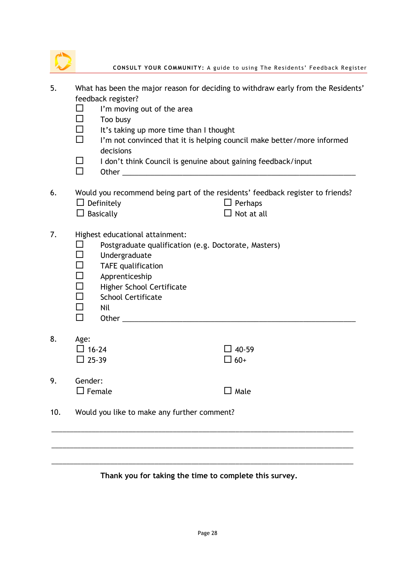|    | CONSULT YOUR COMMUNITY: A guide to using The Residents' Feedback Register         |
|----|-----------------------------------------------------------------------------------|
| 5. | What has been the major reason for deciding to withdraw early from the Residents' |
|    | feedback register?                                                                |
|    | I'm moving out of the area                                                        |
|    | Too busy                                                                          |
|    | It's taking up more time than I thought                                           |
|    | I'm not convinced that it is helping council make better/more informed            |
|    | decisions                                                                         |
|    | I don't think Council is genuine about gaining feedback/input                     |

Other \_\_\_\_\_\_\_\_\_\_\_\_\_\_\_\_\_\_\_\_\_\_\_\_\_\_\_\_\_\_\_\_\_\_\_\_\_\_\_\_\_\_\_\_\_\_\_\_\_\_\_\_\_\_\_\_\_\_

6. Would you recommend being part of the residents' feedback register to friends?  $\square$  Definitely  $\square$  Perhaps

- $\Box$  Basically  $\Box$  Not at all
	-
- 7. Highest educational attainment:
	- $\square$  Postgraduate qualification (e.g. Doctorate, Masters)
	- $\Box$  Undergraduate
	- $\Box$  TAFE qualification
	- $\Box$  Apprenticeship
	- □ Higher School Certificate
	- $\square$  School Certificate
	- $\Box$  Nil
	- $\Box$  Other  $\_\_$
- 8. Age:
	- $\Box$  16-24  $\Box$  25-39

9. Gender:  $\square$  Female  $\square$  Male

| $\Box$ 40-59 |
|--------------|
| $\Box$ 60+   |
|              |
|              |

10. Would you like to make any further comment?

\_\_\_\_\_\_\_\_\_\_\_\_\_\_\_\_\_\_\_\_\_\_\_\_\_\_\_\_\_\_\_\_\_\_\_\_\_\_\_\_\_\_\_\_\_\_\_\_\_\_\_\_\_\_\_\_\_\_\_\_\_\_\_\_\_\_\_\_\_\_\_\_\_\_\_\_\_\_\_\_\_\_

\_\_\_\_\_\_\_\_\_\_\_\_\_\_\_\_\_\_\_\_\_\_\_\_\_\_\_\_\_\_\_\_\_\_\_\_\_\_\_\_\_\_\_\_\_\_\_\_\_\_\_\_\_\_\_\_\_\_\_\_\_\_\_\_\_\_\_\_\_\_\_\_\_\_\_\_\_\_\_\_\_\_

\_\_\_\_\_\_\_\_\_\_\_\_\_\_\_\_\_\_\_\_\_\_\_\_\_\_\_\_\_\_\_\_\_\_\_\_\_\_\_\_\_\_\_\_\_\_\_\_\_\_\_\_\_\_\_\_\_\_\_\_\_\_\_\_\_\_\_\_\_\_\_\_\_\_\_\_\_\_\_\_\_\_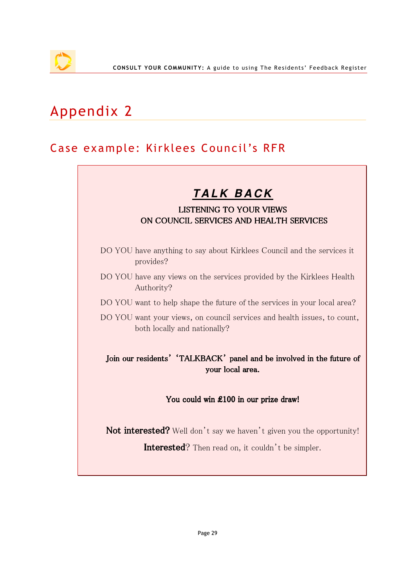# Appendix 2

### Case example: Kirklees Council's RFR

### **T A L K B A C K**

#### LISTENING TO YOUR VIEWS ON COUNCIL SERVICES AND HEALTH SERVICES

- DO YOU have anything to say about Kirklees Council and the services it provides?
- DO YOU have any views on the services provided by the Kirklees Health Authority?
- DO YOU want to help shape the future of the services in your local area?
- DO YOU want your views, on council services and health issues, to count, both locally and nationally?

#### Join our residents' 'TALKBACK' panel and be involved in the future of your local area.

#### You could win £100 in our prize draw!

Not interested? Well don't say we haven't given you the opportunity!

Interested? Then read on, it couldn't be simpler.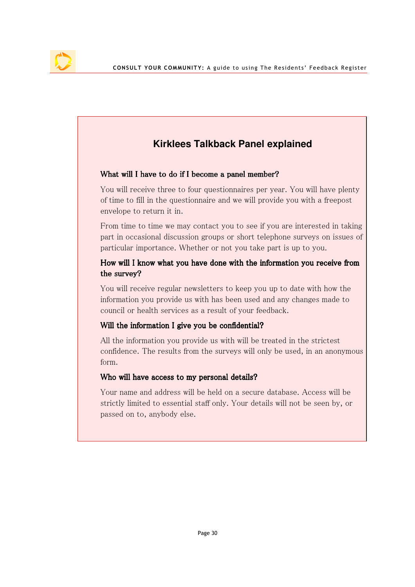### **Kirklees Talkback Panel explained**

#### What will I have to do if I become a panel member?

You will receive three to four questionnaires per year. You will have plenty of time to fill in the questionnaire and we will provide you with a freepost envelope to return it in.

From time to time we may contact you to see if you are interested in taking part in occasional discussion groups or short telephone surveys on issues of particular importance. Whether or not you take part is up to you.

#### How will I know what you have done with the information you receive from the survey?

You will receive regular newsletters to keep you up to date with how the information you provide us with has been used and any changes made to council or health services as a result of your feedback.

#### Will the information I give you be confidential?

All the information you provide us with will be treated in the strictest confidence. The results from the surveys will only be used, in an anonymous form.

#### Who will have access to my personal details?

Your name and address will be held on a secure database. Access will be strictly limited to essential staff only. Your details will not be seen by, or passed on to, anybody else.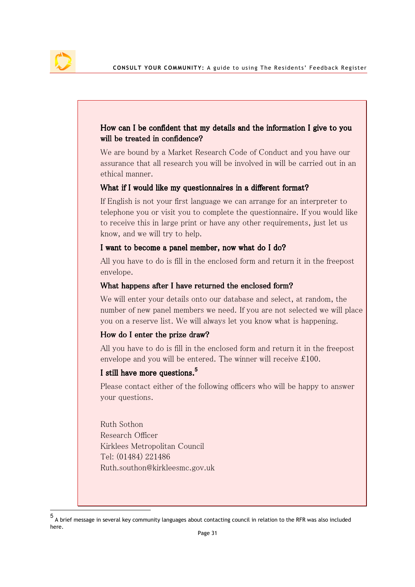$\overline{a}$ 

#### How can I be confident that my details and the information I give to you will be treated in confidence?

We are bound by a Market Research Code of Conduct and you have our assurance that all research you will be involved in will be carried out in an ethical manner.

#### What if I would like my questionnaires in a different format?

If English is not your first language we can arrange for an interpreter to telephone you or visit you to complete the questionnaire. If you would like to receive this in large print or have any other requirements, just let us know, and we will try to help.

#### I want to become a panel member, now what do I do?

All you have to do is fill in the enclosed form and return it in the freepost envelope.

#### What happens after I have returned the enclosed form?

We will enter your details onto our database and select, at random, the number of new panel members we need. If you are not selected we will place you on a reserve list. We will always let you know what is happening.

#### How do I enter the prize draw?

All you have to do is fill in the enclosed form and return it in the freepost envelope and you will be entered. The winner will receive £100.

#### I still have more questions.**<sup>5</sup>**

Please contact either of the following officers who will be happy to answer your questions.

Ruth Sothon Research Officer Kirklees Metropolitan Council Tel: (01484) 221486 Ruth.southon@kirkleesmc.gov.uk

<sup>5</sup> A brief message in several key community languages about contacting council in relation to the RFR was also included here.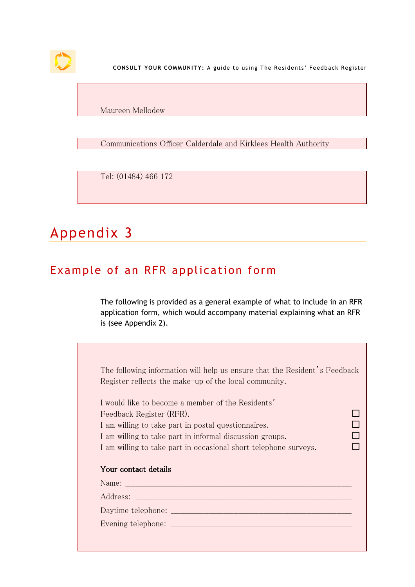

CONSULT YOUR COMMUNITY: A guide to using The Residents' Feedback Register

Maureen Mellodew

Communications Officer Calderdale and Kirklees Health Authority

Tel: (01484) 466 172

# Appendix 3

### Example of an RFR application form

The following is provided as a general example of what to include in an RFR application form, which would accompany material explaining what an RFR is (see Appendix 2).

|                          | The following information will help us ensure that the Resident's Feedback                                     |  |
|--------------------------|----------------------------------------------------------------------------------------------------------------|--|
|                          | Register reflects the make-up of the local community.                                                          |  |
|                          | I would like to become a member of the Residents'                                                              |  |
| Feedback Register (RFR). |                                                                                                                |  |
|                          | I am willing to take part in postal questionnaires.                                                            |  |
|                          | I am willing to take part in informal discussion groups.                                                       |  |
|                          | I am willing to take part in occasional short telephone surveys.                                               |  |
| Your contact details     |                                                                                                                |  |
|                          |                                                                                                                |  |
|                          | Address: 2008 and 2008 and 2008 and 2008 and 2008 and 2008 and 2008 and 2008 and 2008 and 2008 and 2008 and 20 |  |
|                          |                                                                                                                |  |
|                          |                                                                                                                |  |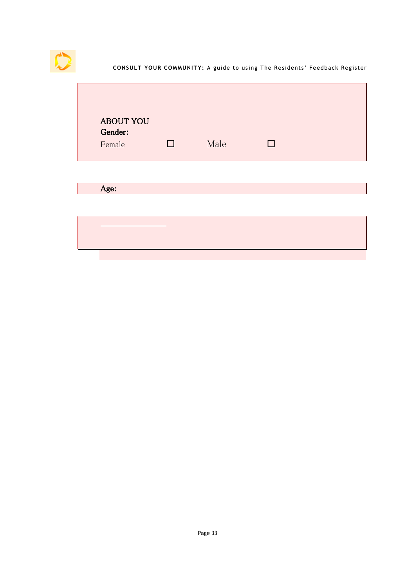

| <b>ABOUT YOU</b><br>Gender:<br>Female | $\Box$ | Male | П |  |
|---------------------------------------|--------|------|---|--|
| Age:                                  |        |      |   |  |
|                                       |        |      |   |  |
|                                       |        |      |   |  |
|                                       |        |      |   |  |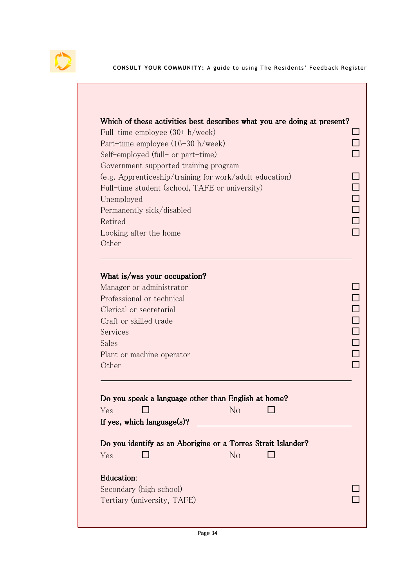| Full-time employee $(30 + h/week)$             |                                                              |  |
|------------------------------------------------|--------------------------------------------------------------|--|
| Part-time employee $(16-30 h/$ week)           |                                                              |  |
| Self-employed (full- or part-time)             |                                                              |  |
| Government supported training program          |                                                              |  |
| Full-time student (school, TAFE or university) | (e.g. Apprenticeship/training for work/adult education)      |  |
| Unemployed                                     |                                                              |  |
| Permanently sick/disabled                      |                                                              |  |
| Retired                                        |                                                              |  |
| Looking after the home                         |                                                              |  |
| Other                                          |                                                              |  |
| Sales<br>Plant or machine operator<br>Other    |                                                              |  |
|                                                | Do you speak a language other than English at home?          |  |
| Yes                                            | No                                                           |  |
| If yes, which language $(s)$ ?                 |                                                              |  |
|                                                | Do you identify as an Aborigine or a Torres Strait Islander? |  |
| Yes                                            | $\rm No$                                                     |  |
| Education:                                     |                                                              |  |
| Secondary (high school)                        |                                                              |  |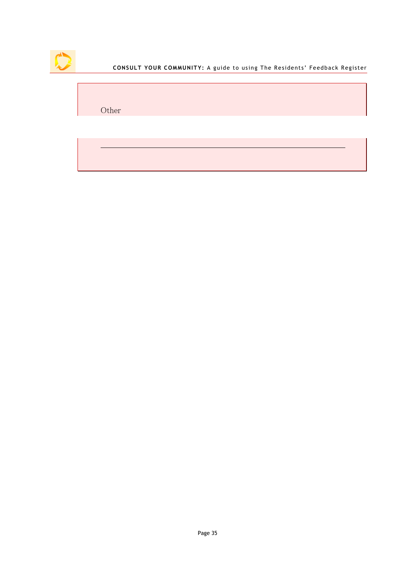

CONSULT YOUR COMMUNITY: A guide to using The Residents' Feedback Register

Other